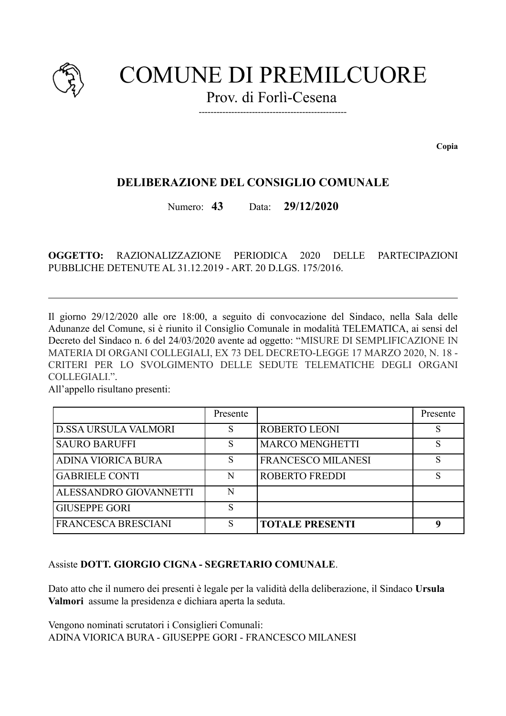

# **COMUNE DI PREMILCUORE**

Prov. di Forlì-Cesena

Copia

# **DELIBERAZIONE DEL CONSIGLIO COMUNALE**

Numero:  $43$ 29/12/2020 Data:

OGGETTO: **RAZIONALIZZAZIONE** PERIODICA  $2020$  DELLE **PARTECIPAZIONI** PUBBLICHE DETENUTE AL 31 12 2019 - ART 20 D LGS 175/2016

Il giorno 29/12/2020 alle ore 18:00, a seguito di convocazione del Sindaco, nella Sala delle Adunanze del Comune, si è riunito il Consiglio Comunale in modalità TELEMATICA, ai sensi del Decreto del Sindaco n. 6 del 24/03/2020 avente ad oggetto: "MISURE DI SEMPLIFICAZIONE IN MATERIA DI ORGANI COLLEGIALI, EX 73 DEL DECRETO-LEGGE 17 MARZO 2020, N. 18 -CRITERI PER LO SVOLGIMENTO DELLE SEDUTE TELEMATICHE DEGLI ORGANI COLLEGIALI.".

All'appello risultano presenti:

|                               | Presente |                        | Presente |
|-------------------------------|----------|------------------------|----------|
| D.SSA URSULA VALMORI          | S        | ROBERTO LEONI          | S        |
| <b>SAURO BARUFFI</b>          | S        | <b>MARCO MENGHETTI</b> | S        |
| ADINA VIORICA BURA            | S        | FRANCESCO MILANESI     |          |
| <b>GABRIELE CONTI</b>         | N        | <b>ROBERTO FREDDI</b>  |          |
| <b>ALESSANDRO GIOVANNETTI</b> | N        |                        |          |
| <b>GIUSEPPE GORI</b>          | S        |                        |          |
| <b>FRANCESCA BRESCIANI</b>    | S        | <b>TOTALE PRESENTI</b> |          |

### Assiste DOTT, GIORGIO CIGNA - SEGRETARIO COMUNALE

Dato atto che il numero dei presenti è legale per la validità della deliberazione, il Sindaco Ursula Valmori assume la presidenza e dichiara aperta la seduta.

Vengono nominati scrutatori i Consiglieri Comunali: ADINA VIORICA BURA - GIUSEPPE GORI - FRANCESCO MILANESI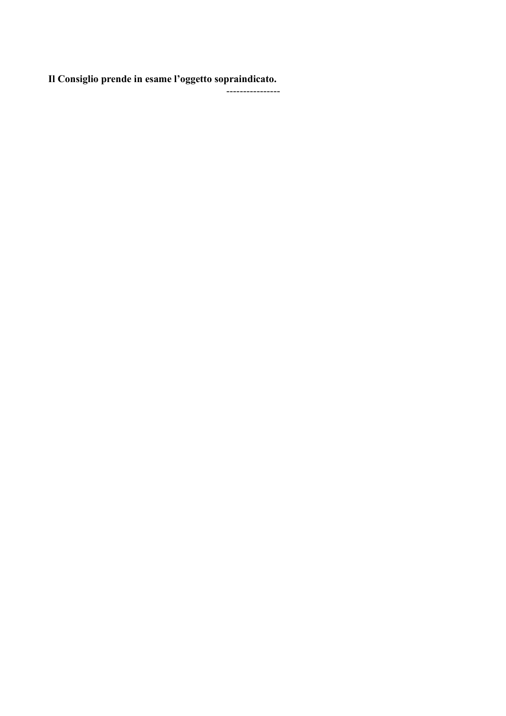Il Consiglio prende in esame l'oggetto sopraindicato.

-<br>-----------------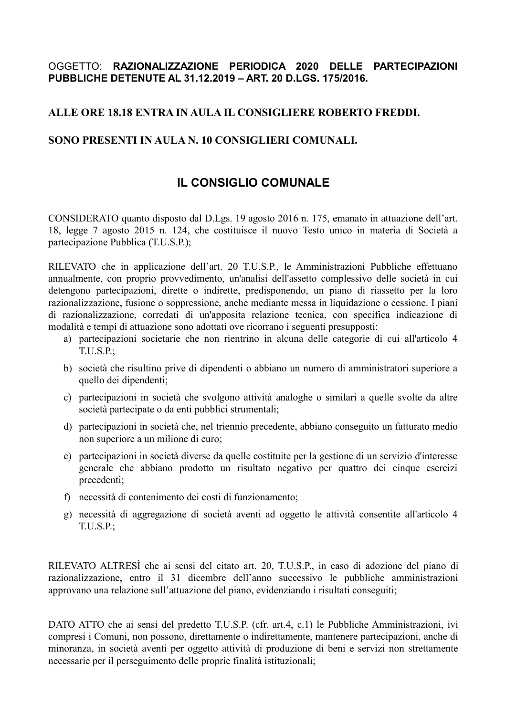## OGGETTO: RAZIONALIZZAZIONE PERIODICA 2020 DELLE PARTECIPAZIONI PUBBLICHE DETENUTE AL 31.12.2019 - ART. 20 D.LGS. 175/2016.

## ALLE ORE 18.18 ENTRA IN AULA IL CONSIGLIERE ROBERTO FREDDI.

## SONO PRESENTI IN AULA N. 10 CONSIGLIERI COMUNALI.

## **IL CONSIGLIO COMUNALE**

CONSIDERATO quanto disposto dal D.Lgs. 19 agosto 2016 n. 175, emanato in attuazione dell'art. 18. legge 7 agosto 2015 n. 124, che costituisce il nuovo Testo unico in materia di Società a partecipazione Pubblica (T.U.S.P.);

RILEVATO che in applicazione dell'art. 20 T.U.S.P., le Amministrazioni Pubbliche effettuano annualmente, con proprio provvedimento, un'analisi dell'assetto complessivo delle società in cui detengono partecipazioni, dirette o indirette, predisponendo, un piano di riassetto per la loro razionalizzazione, fusione o soppressione, anche mediante messa in liquidazione o cessione. I piani di razionalizzazione, corredati di un'apposita relazione tecnica, con specifica indicazione di modalità e tempi di attuazione sono adottati ove ricorrano i seguenti presupposti:

- a) partecipazioni societarie che non rientrino in alcuna delle categorie di cui all'articolo 4  $T.U.S.P.$ :
- b) società che risultino prive di dipendenti o abbiano un numero di amministratori superiore a quello dei dipendenti;
- c) partecipazioni in società che svolgono attività analoghe o similari a quelle svolte da altre società partecipate o da enti pubblici strumentali;
- d) partecipazioni in società che, nel triennio precedente, abbiano conseguito un fatturato medio non superiore a un milione di euro:
- e) partecipazioni in società diverse da quelle costituite per la gestione di un servizio d'interesse generale che abbiano prodotto un risultato negativo per quattro dei cinque esercizi precedenti;
- f) necessità di contenimento dei costi di funzionamento;
- g) necessità di aggregazione di società aventi ad oggetto le attività consentite all'articolo 4  $T.U.S.P.$ :

RILEVATO ALTRESI che ai sensi del citato art. 20, T.U.S.P., in caso di adozione del piano di razionalizzazione, entro il 31 dicembre dell'anno successivo le pubbliche amministrazioni approvano una relazione sull'attuazione del piano, evidenziando i risultati conseguiti;

DATO ATTO che ai sensi del predetto T.U.S.P. (cfr. art.4, c.1) le Pubbliche Amministrazioni, ivi compresi i Comuni, non possono, direttamente o indirettamente, mantenere partecipazioni, anche di minoranza, in società aventi per oggetto attività di produzione di beni e servizi non strettamente necessarie per il perseguimento delle proprie finalità istituzionali;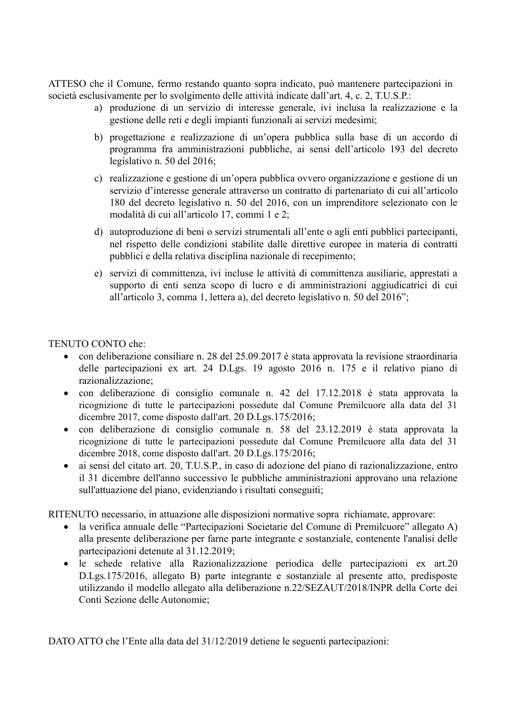ATTESO che il Comune, fermo restando quanto sopra indicato, può mantenere partecipazioni in società esclusivamente per lo svolgimento delle attività indicate dall'art. 4, c. 2, T.U.S.P.:

- a) produzione di un servizio di interesse generale, ivi inclusa la realizzazione e la gestione delle reti e degli impianti funzionali ai servizi medesimi;
- b) progettazione e realizzazione di un'opera pubblica sulla base di un accordo di programma fra amministrazioni pubbliche, ai sensi dell'articolo 193 del decreto legislativo n. 50 del 2016;
- c) realizzazione e gestione di un'opera pubblica ovvero organizzazione e gestione di un servizio d'interesse generale attraverso un contratto di partenariato di cui all'articolo 180 del decreto legislativo n. 50 del 2016, con un imprenditore selezionato con le modalità di cui all'articolo 17, commi 1 e 2;
- d) autoproduzione di beni o servizi strumentali all'ente o agli enti pubblici partecipanti, nel rispetto delle condizioni stabilite dalle direttive europee in materia di contratti pubblici e della relativa disciplina nazionale di recepimento;
- e) servizi di committenza, ivi incluse le attività di committenza ausiliarie, apprestati a supporto di enti senza scopo di lucro e di amministrazioni aggiudicatrici di cui all'articolo 3, comma 1, lettera a), del decreto legislativo n. 50 del 2016";

### TENUTO CONTO che

- con deliberazione consiliare n. 28 del 25.09.2017 è stata approvata la revisione straordinaria  $\bullet$ delle partecipazioni ex art. 24 D.Lgs. 19 agosto 2016 n. 175 e il relativo piano di razionalizzazione<sup>·</sup>
- con deliberazione di consiglio comunale n. 42 del 17.12.2018 è stata approvata la  $\bullet$ ricognizione di tutte le partecipazioni possedute dal Comune Premilcuore alla data del 31 dicembre 2017, come disposto dall'art. 20 D.Lgs. 175/2016;
- con deliberazione di consiglio comunale n. 58 del 23.12.2019 è stata approvata la  $\bullet$ ricognizione di tutte le partecipazioni possedute dal Comune Premilcuore alla data del 31 dicembre 2018, come disposto dall'art. 20 D.Lgs.175/2016;
- ai sensi del citato art. 20, T.U.S.P., in caso di adozione del piano di razionalizzazione, entro  $\bullet$ il 31 dicembre dell'anno successivo le pubbliche amministrazioni approvano una relazione sull'attuazione del piano, evidenziando i risultati conseguiti;

RITENUTO necessario, in attuazione alle disposizioni normative sopra richiamate, approvare:

- la verifica annuale delle "Partecipazioni Societarie del Comune di Premilcuore" allegato A)  $\bullet$ alla presente deliberazione per farne parte integrante e sostanziale, contenente l'analisi delle partecipazioni detenute al 31.12.2019;
- · le schede relative alla Razionalizzazione periodica delle partecipazioni ex art.20 D.Lgs.175/2016, allegato B) parte integrante e sostanziale al presente atto, predisposte utilizzando il modello allegato alla deliberazione n.22/SEZAUT/2018/INPR della Corte dei Conti Sezione delle Autonomie;

DATO ATTO che l'Ente alla data del 31/12/2019 detiene le seguenti partecipazioni: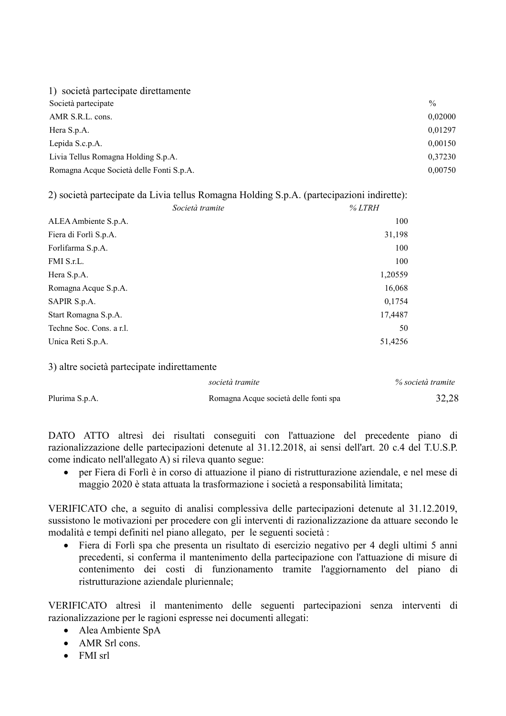| 1) società partecipate direttamente      |               |
|------------------------------------------|---------------|
| Società partecipate                      | $\frac{0}{0}$ |
| AMR S.R.L. cons.                         | 0,02000       |
| Hera S.p.A.                              | 0.01297       |
| Lepida S.c.p.A.                          | 0,00150       |
| Livia Tellus Romagna Holding S.p.A.      | 0,37230       |
| Romagna Acque Società delle Fonti S.p.A. | 0,00750       |
|                                          |               |

2) società partecipate da Livia tellus Romagna Holding S.p.A. (partecipazioni indirette):

| ALEA Ambiente S.p.A.<br>Fiera di Forlì S.p.A.<br>Forlifarma S.p.A.<br>FMI S.r.L.<br>Hera S.p.A.<br>Romagna Acque S.p.A.<br>SAPIR S.p.A.<br>Start Romagna S.p.A.<br>Techne Soc. Cons. a r.l.<br>Unica Reti S.p.A. | Società tramite | % LTRH  |
|------------------------------------------------------------------------------------------------------------------------------------------------------------------------------------------------------------------|-----------------|---------|
|                                                                                                                                                                                                                  |                 | 100     |
|                                                                                                                                                                                                                  |                 | 31,198  |
|                                                                                                                                                                                                                  |                 | 100     |
|                                                                                                                                                                                                                  |                 | 100     |
|                                                                                                                                                                                                                  |                 | 1,20559 |
|                                                                                                                                                                                                                  |                 | 16,068  |
|                                                                                                                                                                                                                  |                 | 0,1754  |
|                                                                                                                                                                                                                  |                 | 17,4487 |
|                                                                                                                                                                                                                  |                 | 50      |
|                                                                                                                                                                                                                  |                 | 51,4256 |

3) altre società partecipate indirettamente

|                | società tramite                       | % società tramite |
|----------------|---------------------------------------|-------------------|
| Plurima S.p.A. | Romagna Acque società delle fonti spa | 32,28             |

DATO ATTO altresì dei risultati conseguiti con l'attuazione del precedente piano di razionalizzazione delle partecipazioni detenute al 31.12.2018, ai sensi dell'art. 20 c.4 del T.U.S.P. come indicato nell'allegato A) si rileva quanto segue:

per Fiera di Forlì è in corso di attuazione il piano di ristrutturazione aziendale, e nel mese di  $\bullet$ maggio 2020 è stata attuata la trasformazione i società a responsabilità limitata;

VERIFICATO che, a seguito di analisi complessiva delle partecipazioni detenute al 31.12.2019, sussistono le motivazioni per procedere con gli interventi di razionalizzazione da attuare secondo le modalità e tempi definiti nel piano allegato, per le seguenti società :

Fiera di Forlì spa che presenta un risultato di esercizio negativo per 4 degli ultimi 5 anni  $\bullet$ precedenti, si conferma il mantenimento della partecipazione con l'attuazione di misure di contenimento dei costi di funzionamento tramite l'aggiornamento del piano di ristrutturazione aziendale pluriennale:

VERIFICATO altresì il mantenimento delle seguenti partecipazioni senza interventi di razionalizzazione per le ragioni espresse nei documenti allegati:

- Alea Ambiente SpA
- $\bullet$  AMR Srl cons.
- $\bullet$  FMI srl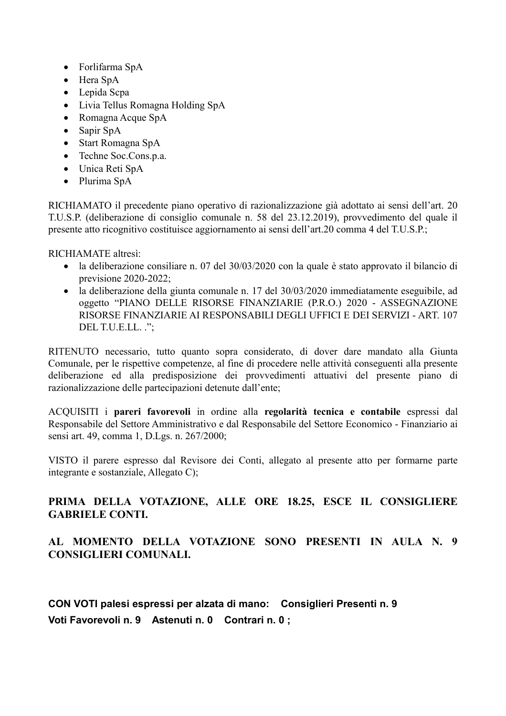- Forlifarma SpA
- Hera SpA
- Lepida Scpa
- Livia Tellus Romagna Holding SpA
- Romagna Acque SpA
- Sapir SpA
- Start Romagna SpA
- Techne Soc.Cons.p.a.
- Unica Reti SpA
- Plurima SpA

RICHIAMATO il precedente piano operativo di razionalizzazione già adottato ai sensi dell'art. 20 T.U.S.P. (deliberazione di consiglio comunale n. 58 del 23.12.2019), provvedimento del quale il presente atto ricognitivo costituisce aggiornamento ai sensi dell'art.20 comma 4 del T.U.S.P.:

RICHIAMATE altresi:

- la deliberazione consiliare n. 07 del 30/03/2020 con la quale è stato approvato il bilancio di previsione 2020-2022;
- la deliberazione della giunta comunale n. 17 del 30/03/2020 immediatamente eseguibile, ad oggetto "PIANO DELLE RISORSE FINANZIARIE (P.R.O.) 2020 - ASSEGNAZIONE RISORSE FINANZIARIE AI RESPONSABILI DEGLI UFFICI E DEI SERVIZI - ART. 107 DEL T.U.E.LL. ":

RITENUTO necessario, tutto quanto sopra considerato, di dover dare mandato alla Giunta Comunale, per le rispettive competenze, al fine di procedere nelle attività conseguenti alla presente deliberazione ed alla predisposizione dei provvedimenti attuativi del presente piano di razionalizzazione delle partecipazioni detenute dall'ente:

ACQUISITI i pareri favorevoli in ordine alla regolarità tecnica e contabile espressi dal Responsabile del Settore Amministrativo e dal Responsabile del Settore Economico - Finanziario ai sensi art. 49, comma 1, D.Lgs. n. 267/2000;

VISTO il parere espresso dal Revisore dei Conti, allegato al presente atto per formarne parte integrante e sostanziale, Allegato C);

## PRIMA DELLA VOTAZIONE, ALLE ORE 18.25, ESCE IL CONSIGLIERE **GABRIELE CONTI.**

## AL MOMENTO DELLA VOTAZIONE SONO PRESENTI IN AULA N. 9 **CONSIGLIERI COMUNALI.**

CON VOTI palesi espressi per alzata di mano: Consiglieri Presenti n. 9 Voti Favorevoli n. 9 Astenuti n. 0 Contrari n. 0;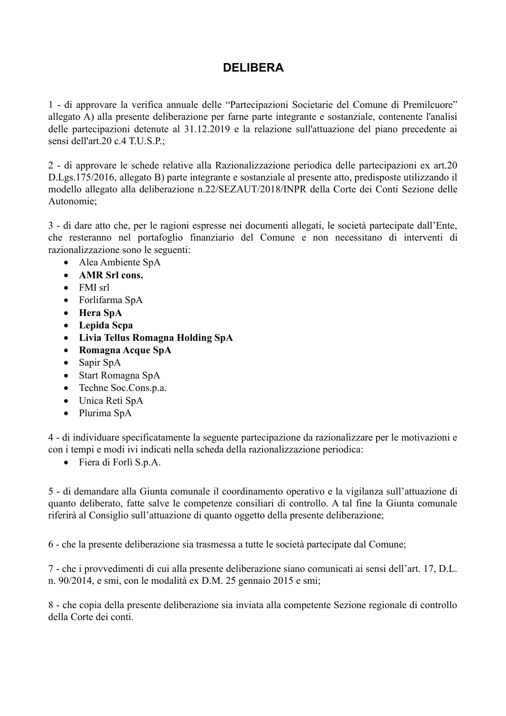# **DEI IRERA**

1 - di approvare la verifica annuale delle "Partecipazioni Societarie del Comune di Premilcuore" allegato A) alla presente deliberazione per farne parte integrante e sostanziale, contenente l'analisi delle partecipazioni detenute al 31.12.2019 e la relazione sull'attuazione del piano precedente ai sensi dell'art.20 c.4 T.U.S.P.;

2 - di approvare le schede relative alla Razionalizzazione periodica delle partecipazioni ex art.20 D.Lgs.175/2016, allegato B) parte integrante e sostanziale al presente atto, predisposte utilizzando il modello allegato alla deliberazione n.22/SEZAUT/2018/INPR della Corte dei Conti Sezione delle Autonomie:

3 - di dare atto che, per le ragioni espresse nei documenti allegati, le società partecipate dall'Ente, che resteranno nel portafoglio finanziario del Comune e non necessitano di interventi di razionalizzazione sono le seguenti:

- Alea Ambiente SpA
- AMR Srl cons.
- $\bullet$  FMI srl
- Forlifarma SpA
- Hera SpA
- Lepida Scpa
- Livia Tellus Romagna Holding SpA
- Romagna Acque SpA  $\bullet$
- $\bullet$ Sapir SpA
- Start Romagna SpA
- Techne Soc.Cons.p.a.
- Unica Reti SpA
- Plurima SpA

4 - di individuare specificatamente la seguente partecipazione da razionalizzare per le motivazioni e con i tempi e modi ivi indicati nella scheda della razionalizzazione periodica:

• Fiera di Forlì S.p.A.

5 - di demandare alla Giunta comunale il coordinamento operativo e la vigilanza sull'attuazione di quanto deliberato, fatte salve le competenze consiliari di controllo. A tal fine la Giunta comunale riferirà al Consiglio sull'attuazione di quanto oggetto della presente deliberazione;

6 - che la presente deliberazione sia trasmessa a tutte le società partecipate dal Comune:

7 - che i provvedimenti di cui alla presente deliberazione siano comunicati ai sensi dell'art. 17, D.L. n. 90/2014, e smi, con le modalità ex D.M. 25 gennaio 2015 e smi;

8 - che copia della presente deliberazione sia inviata alla competente Sezione regionale di controllo della Corte dei conti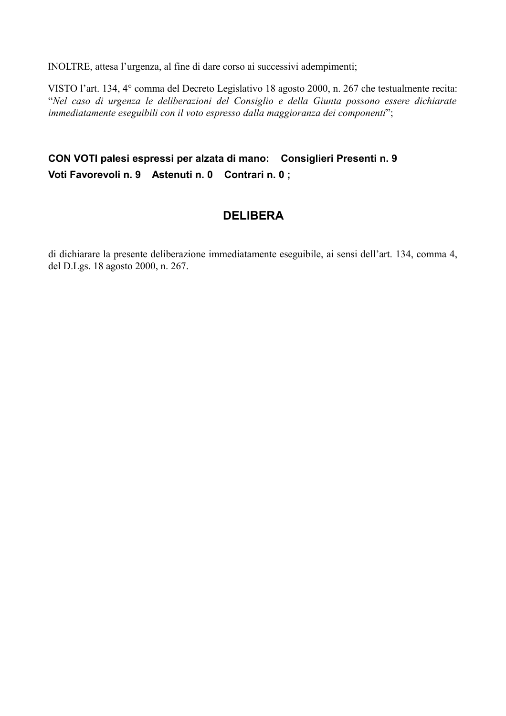INOLTRE, attesa l'urgenza, al fine di dare corso ai successivi adempimenti;

VISTO l'art. 134, 4<sup>°</sup> comma del Decreto Legislativo 18 agosto 2000, n. 267 che testualmente recita: "Nel caso di urgenza le deliberazioni del Consiglio e della Giunta possono essere dichiarate immediatamente eseguibili con il voto espresso dalla maggioranza dei componenti";

# CON VOTI palesi espressi per alzata di mano: Consiglieri Presenti n. 9 Voti Favorevoli n. 9 Astenuti n. 0 Contrari n. 0;

# **DELIBERA**

di dichiarare la presente deliberazione immediatamente eseguibile, ai sensi dell'art. 134, comma 4, del D.Lgs. 18 agosto 2000, n. 267.